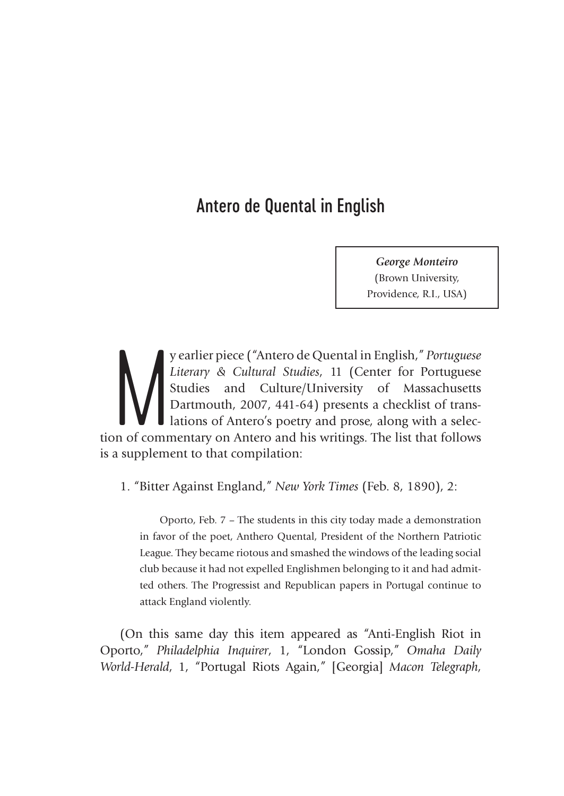## Antero de Quental in English

*George Monteiro*  (Brown University, Providence, R.I., USA)

y earlier piece ("Antero de Quental in English," Portuguese<br>Literary & Cultural Studies, 11 (Center for Portuguese<br>Studies and Culture/University of Massachusetts<br>Dartmouth, 2007, 441-64) presents a checklist of trans-<br>lat y earlier piece ("Antero de Quental in English," *Portuguese Literary & Cultural Studies*, 11 (Center for Portuguese Studies and Culture/University of Massachusetts Dartmouth, 2007, 441-64) presents a checklist of translations of Antero's poetry and prose, along with a selecis a supplement to that compilation:

1. "Bitter Against England," *New York Times* (Feb. 8, 1890), 2:

Oporto, Feb. 7 – The students in this city today made a demonstration in favor of the poet, Anthero Quental, President of the Northern Patriotic League. They became riotous and smashed the windows of the leading social club because it had not expelled Englishmen belonging to it and had admitted others. The Progressist and Republican papers in Portugal continue to attack England violently.

(On this same day this item appeared as "Anti-English Riot in Oporto," *Philadelphia Inquirer*, 1, "London Gossip," *Omaha Daily World-Herald*, 1, "Portugal Riots Again," [Georgia] *Macon Telegraph*,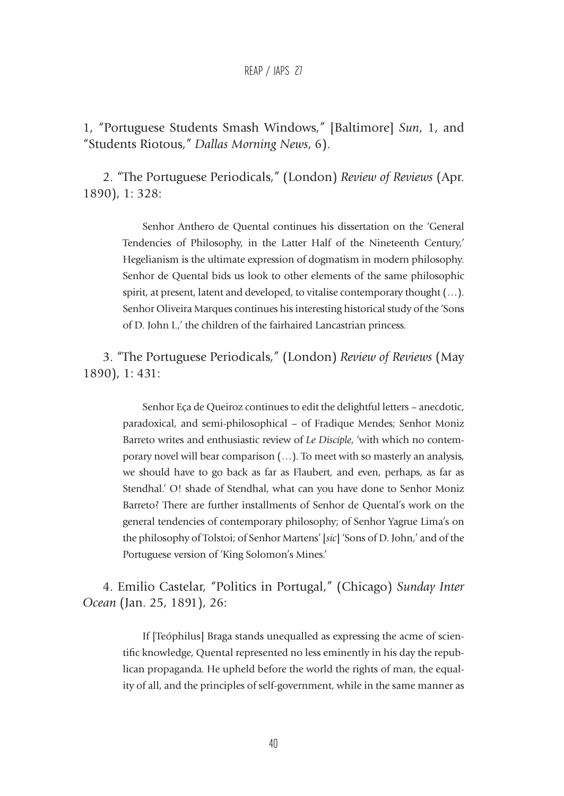## REAP / JAPS 27

1, "Portuguese Students Smash Windows," [Baltimore] *Sun*, 1, and "Students Riotous," *Dallas Morning News*, 6).

2. "The Portuguese Periodicals," (London) *Review of Reviews* (Apr. 1890), 1: 328:

> Senhor Anthero de Quental continues his dissertation on the 'General Tendencies of Philosophy, in the Latter Half of the Nineteenth Century,' Hegelianism is the ultimate expression of dogmatism in modern philosophy. Senhor de Quental bids us look to other elements of the same philosophic spirit, at present, latent and developed, to vitalise contemporary thought (…). Senhor Oliveira Marques continues his interesting historical study of the 'Sons of D. John I.,' the children of the fairhaired Lancastrian princess.

3. "The Portuguese Periodicals," (London) *Review of Reviews* (May 1890), 1: 431:

> Senhor Eça de Queiroz continues to edit the delightful letters – anecdotic, paradoxical, and semi-philosophical – of Fradique Mendes; Senhor Moniz Barreto writes and enthusiastic review of *Le Disciple*, 'with which no contemporary novel will bear comparison (…). To meet with so masterly an analysis, we should have to go back as far as Flaubert, and even, perhaps, as far as Stendhal.' O! shade of Stendhal, what can you have done to Senhor Moniz Barreto? There are further installments of Senhor de Quental's work on the general tendencies of contemporary philosophy; of Senhor Yagrue Lima's on the philosophy of Tolstoi; of Senhor Martens' [*sic*] 'Sons of D. John,' and of the Portuguese version of 'King Solomon's Mines.'

4. Emilio Castelar, "Politics in Portugal," (Chicago) *Sunday Inter Ocean* (Jan. 25, 1891), 26:

> If [Teóphilus] Braga stands unequalled as expressing the acme of scientific knowledge, Quental represented no less eminently in his day the republican propaganda. He upheld before the world the rights of man, the equality of all, and the principles of self-government, while in the same manner as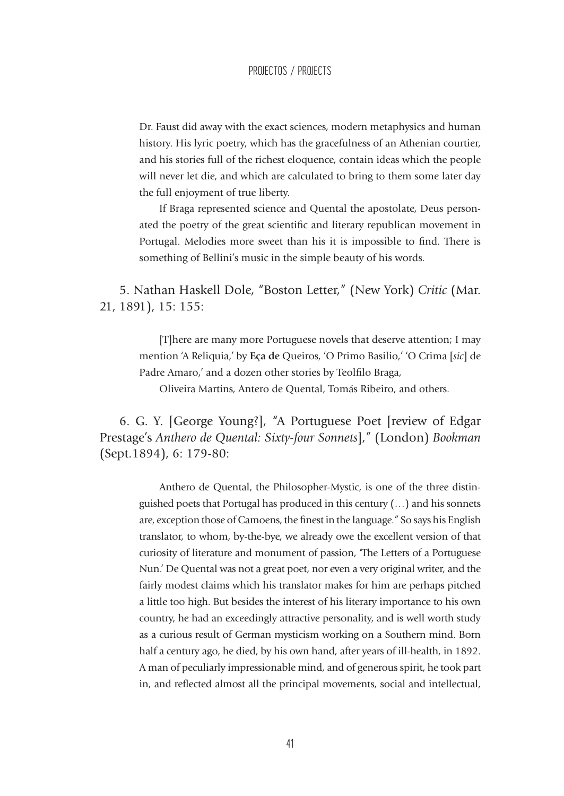Dr. Faust did away with the exact sciences, modern metaphysics and human history. His lyric poetry, which has the gracefulness of an Athenian courtier, and his stories full of the richest eloquence, contain ideas which the people will never let die, and which are calculated to bring to them some later day the full enjoyment of true liberty.

If Braga represented science and Quental the apostolate, Deus personated the poetry of the great scientific and literary republican movement in Portugal. Melodies more sweet than his it is impossible to find. There is something of Bellini's music in the simple beauty of his words.

5. Nathan Haskell Dole, "Boston Letter," (New York) *Critic* (Mar. 21, 1891), 15: 155:

> [T]here are many more Portuguese novels that deserve attention; I may mention 'A Reliquia,' by **Eça de** Queiros, 'O Primo Basilio,' 'O Crima [*sic*] de Padre Amaro,' and a dozen other stories by Teolfilo Braga,

Oliveira Martins, Antero de Quental, Tomás Ribeiro, and others.

6. G. Y. [George Young?], "A Portuguese Poet [review of Edgar Prestage's *Anthero de Quental: Sixty-four Sonnets*]," (London) *Bookman* (Sept.1894), 6: 179-80:

> Anthero de Quental, the Philosopher-Mystic, is one of the three distinguished poets that Portugal has produced in this century (…) and his sonnets are, exception those of Camoens, the finest in the language." So says his English translator, to whom, by-the-bye, we already owe the excellent version of that curiosity of literature and monument of passion, 'The Letters of a Portuguese Nun.' De Quental was not a great poet, nor even a very original writer, and the fairly modest claims which his translator makes for him are perhaps pitched a little too high. But besides the interest of his literary importance to his own country, he had an exceedingly attractive personality, and is well worth study as a curious result of German mysticism working on a Southern mind. Born half a century ago, he died, by his own hand, after years of ill-health, in 1892. A man of peculiarly impressionable mind, and of generous spirit, he took part in, and reflected almost all the principal movements, social and intellectual,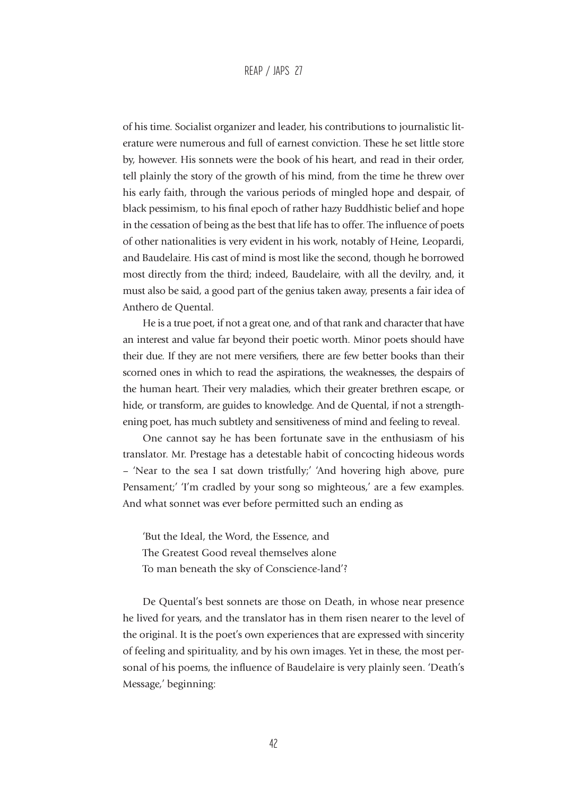## REAP / JAPS 27

of his time. Socialist organizer and leader, his contributions to journalistic literature were numerous and full of earnest conviction. These he set little store by, however. His sonnets were the book of his heart, and read in their order, tell plainly the story of the growth of his mind, from the time he threw over his early faith, through the various periods of mingled hope and despair, of black pessimism, to his final epoch of rather hazy Buddhistic belief and hope in the cessation of being as the best that life has to offer. The influence of poets of other nationalities is very evident in his work, notably of Heine, Leopardi, and Baudelaire. His cast of mind is most like the second, though he borrowed most directly from the third; indeed, Baudelaire, with all the devilry, and, it must also be said, a good part of the genius taken away, presents a fair idea of Anthero de Quental.

He is a true poet, if not a great one, and of that rank and character that have an interest and value far beyond their poetic worth. Minor poets should have their due. If they are not mere versifiers, there are few better books than their scorned ones in which to read the aspirations, the weaknesses, the despairs of the human heart. Their very maladies, which their greater brethren escape, or hide, or transform, are guides to knowledge. And de Quental, if not a strengthening poet, has much subtlety and sensitiveness of mind and feeling to reveal.

One cannot say he has been fortunate save in the enthusiasm of his translator. Mr. Prestage has a detestable habit of concocting hideous words – 'Near to the sea I sat down tristfully;' 'And hovering high above, pure Pensament;' 'I'm cradled by your song so mighteous,' are a few examples. And what sonnet was ever before permitted such an ending as

'But the Ideal, the Word, the Essence, and The Greatest Good reveal themselves alone To man beneath the sky of Conscience-land'?

De Quental's best sonnets are those on Death, in whose near presence he lived for years, and the translator has in them risen nearer to the level of the original. It is the poet's own experiences that are expressed with sincerity of feeling and spirituality, and by his own images. Yet in these, the most personal of his poems, the influence of Baudelaire is very plainly seen. 'Death's Message,' beginning: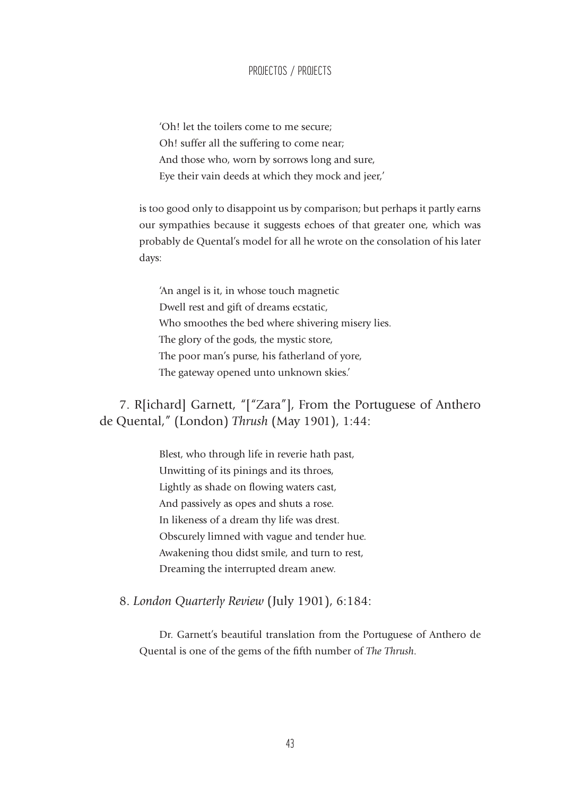## PROJECTOS / PROJECTS

'Oh! let the toilers come to me secure; Oh! suffer all the suffering to come near; And those who, worn by sorrows long and sure, Eye their vain deeds at which they mock and jeer,'

is too good only to disappoint us by comparison; but perhaps it partly earns our sympathies because it suggests echoes of that greater one, which was probably de Quental's model for all he wrote on the consolation of his later days:

'An angel is it, in whose touch magnetic Dwell rest and gift of dreams ecstatic, Who smoothes the bed where shivering misery lies. The glory of the gods, the mystic store, The poor man's purse, his fatherland of yore, The gateway opened unto unknown skies.'

7. R[ichard] Garnett, "["Zara"], From the Portuguese of Anthero de Quental," (London) *Thrush* (May 1901), 1:44:

> Blest, who through life in reverie hath past, Unwitting of its pinings and its throes, Lightly as shade on flowing waters cast, And passively as opes and shuts a rose. In likeness of a dream thy life was drest. Obscurely limned with vague and tender hue. Awakening thou didst smile, and turn to rest, Dreaming the interrupted dream anew.

8. *London Quarterly Review* (July 1901), 6:184:

Dr. Garnett's beautiful translation from the Portuguese of Anthero de Quental is one of the gems of the fifth number of *The Thrush*.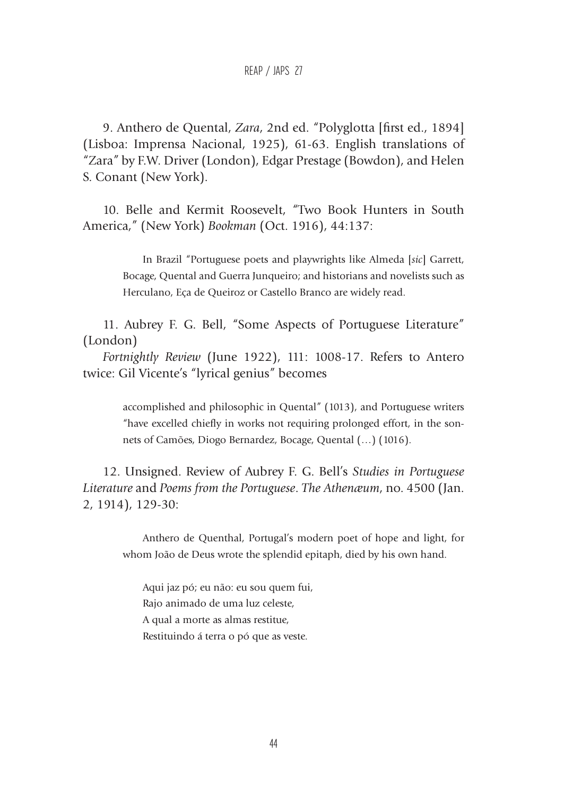REAP / JAPS 27

9. Anthero de Quental, *Zara*, 2nd ed. "Polyglotta [first ed., 1894] (Lisboa: Imprensa Nacional, 1925), 61-63. English translations of "Zara" by F.W. Driver (London), Edgar Prestage (Bowdon), and Helen S. Conant (New York).

10. Belle and Kermit Roosevelt, "Two Book Hunters in South America," (New York) *Bookman* (Oct. 1916), 44:137:

> In Brazil "Portuguese poets and playwrights like Almeda [*sic*] Garrett, Bocage, Quental and Guerra Junqueiro; and historians and novelists such as Herculano, Eça de Queiroz or Castello Branco are widely read.

11. Aubrey F. G. Bell, "Some Aspects of Portuguese Literature" (London)

*Fortnightly Review* (June 1922), 111: 1008-17. Refers to Antero twice: Gil Vicente's "lyrical genius" becomes

> accomplished and philosophic in Quental" (1013), and Portuguese writers "have excelled chiefly in works not requiring prolonged effort, in the sonnets of Camões, Diogo Bernardez, Bocage, Quental (…) (1016).

12. Unsigned. Review of Aubrey F. G. Bell's *Studies in Portuguese Literature* and *Poems from the Portuguese*. *The Athenæum*, no. 4500 (Jan. 2, 1914), 129-30:

Anthero de Quenthal, Portugal's modern poet of hope and light, for whom João de Deus wrote the splendid epitaph, died by his own hand.

Aqui jaz pó; eu não: eu sou quem fui, Rajo animado de uma luz celeste, A qual a morte as almas restitue, Restituindo á terra o pó que as veste.